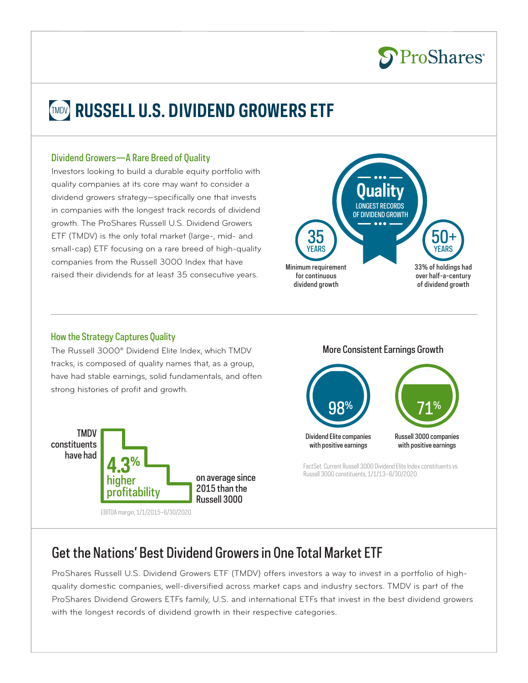

# **RUSSELL U.S. DIVIDEND GROWERS ETF**

#### Dividend Growers—A Rare Breed of Quality

Investors looking to build a durable equity portfolio with quality companies at its core may want to consider a dividend growers strategy—specifically one that invests in companies with the longest track records of dividend growth. The ProShares Russell U.S. Dividend Growers ETF (TMDV) is the only total market (large-, mid- and small-cap) ETF focusing on a rare breed of high-quality companies from the Russell 3000 Index that have raised their dividends for at least 35 consecutive years.



### How the Strategy Captures Quality

The Russell 3000® Dividend Elite Index, which TMDV tracks, is composed of quality names that, as a group, have had stable earnings, solid fundamentals, and often strong histories of profit and growth.



#### More Consistent Earnings Growth



FactSet. Current Russell 3000 Dividend Elite Index constituents vs Russell 3000 constituents, 1/1/13–6/30/2020.

### Get the Nations' Best Dividend Growers in One Total Market ETF

ProShares Russell U.S. Dividend Growers ETF (TMDV) offers investors a way to invest in a portfolio of highquality domestic companies, well-diversified across market caps and industry sectors. TMDV is part of the ProShares Dividend Growers ETFs family, U.S. and international ETFs that invest in the best dividend growers with the longest records of dividend growth in their respective categories.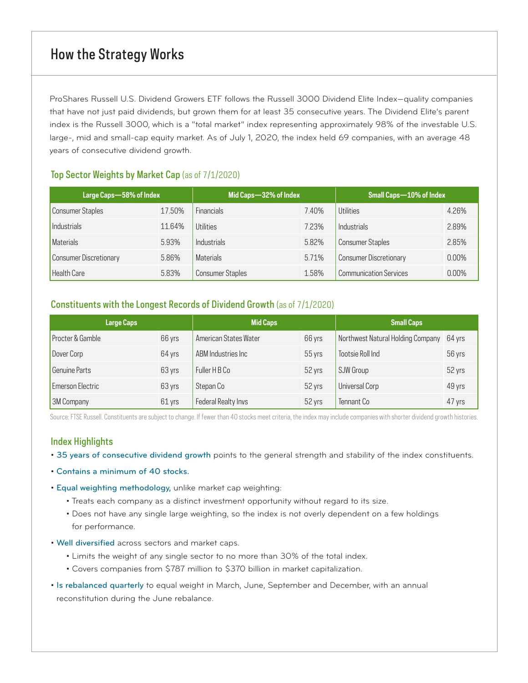### How the Strategy Works

ProShares Russell U.S. Dividend Growers ETF follows the Russell 3000 Dividend Elite Index—quality companies that have not just paid dividends, but grown them for at least 35 consecutive years. The Dividend Elite's parent index is the Russell 3000, which is a "total market" index representing approximately 98% of the investable U.S. large-, mid and small-cap equity market. As of July 1, 2020, the index held 69 companies, with an average 48 years of consecutive dividend growth.

### Top Sector Weights by Market Cap (as of 7/1/2020)

| Large Caps-58% of Index |        | Mid Caps-32% of Index   |       | <b>Small Caps-10% of Index</b> |          |
|-------------------------|--------|-------------------------|-------|--------------------------------|----------|
| Consumer Staples        | 17.50% | <b>Financials</b>       | 7.40% | Utilities                      | 4.26%    |
| Industrials             | 11.64% | Utilities               | 7.23% | <b>Industrials</b>             | 2.89%    |
| Materials               | 5.93%  | Industrials             | 5.82% | <b>Consumer Staples</b>        | 2.85%    |
| Consumer Discretionary  | 5.86%  | <b>Materials</b>        | 5.71% | <b>Consumer Discretionary</b>  | $0.00\%$ |
| Health Care             | 5.83%  | <b>Consumer Staples</b> | 1.58% | <b>Communication Services</b>  | $0.00\%$ |

### Constituents with the Longest Records of Dividend Growth (as of 7/1/2020)

| <b>Large Caps</b>       |        | <b>Mid Caps</b>       |          | <b>Small Caps</b>                        |        |
|-------------------------|--------|-----------------------|----------|------------------------------------------|--------|
| Procter & Gamble        | 66 yrs | American States Water | 66 yrs   | Northwest Natural Holding Company 64 yrs |        |
| Dover Corp              | 64 yrs | ABM Industries Inc    | $55$ yrs | Tootsie Roll Ind                         | 56 yrs |
| Genuine Parts           | 63 yrs | Fuller H B Co         | 52 yrs   | SJW Group                                | 52 yrs |
| <b>Emerson Electric</b> | 63 yrs | Stepan Co             | 52 yrs   | Universal Corp                           | 49 yrs |
| 3M Company              | 61 yrs | Federal Realty Invs   | 52 yrs   | Tennant Co                               | 47 yrs |

Source: FTSE Russell. Constituents are subject to change. If fewer than 40 stocks meet criteria, the index may include companies with shorter dividend growth histories.

### Index Highlights

- 35 years of consecutive dividend growth points to the general strength and stability of the index constituents.
- Contains a minimum of 40 stocks.
- Equal weighting methodology, unlike market cap weighting:
	- Treats each company as a distinct investment opportunity without regard to its size.
	- Does not have any single large weighting, so the index is not overly dependent on a few holdings for performance.
- Well diversified across sectors and market caps.
	- Limits the weight of any single sector to no more than 30% of the total index.
	- Covers companies from \$787 million to \$370 billion in market capitalization.
- Is rebalanced quarterly to equal weight in March, June, September and December, with an annual reconstitution during the June rebalance.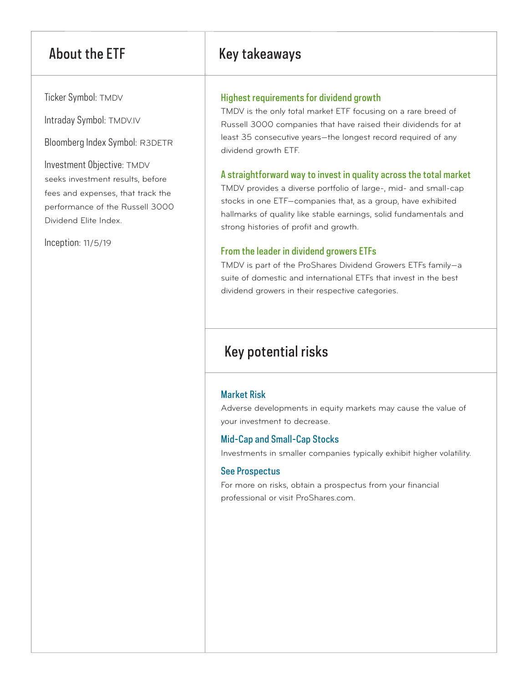Ticker Symbol: TMDV

Intraday Symbol: TMDV.IV

Bloomberg Index Symbol: R3DETR

Investment Objective: TMDV seeks investment results, before fees and expenses, that track the performance of the Russell 3000 Dividend Elite Index.

Inception: 11/5/19

### About the ETF Key takeaways

### Highest requirements for dividend growth

TMDV is the only total market ETF focusing on a rare breed of Russell 3000 companies that have raised their dividends for at least 35 consecutive years—the longest record required of any dividend growth ETF.

### A straightforward way to invest in quality across the total market

TMDV provides a diverse portfolio of large-, mid- and small-cap stocks in one ETF—companies that, as a group, have exhibited hallmarks of quality like stable earnings, solid fundamentals and strong histories of profit and growth.

### From the leader in dividend growers ETFs

TMDV is part of the ProShares Dividend Growers ETFs family—a suite of domestic and international ETFs that invest in the best dividend growers in their respective categories.

## Key potential risks

### Market Risk

Adverse developments in equity markets may cause the value of your investment to decrease.

### Mid-Cap and Small-Cap Stocks

Investments in smaller companies typically exhibit higher volatility.

### See Prospectus

For more on risks, obtain a prospectus from your financial professional or visit ProShares.com.